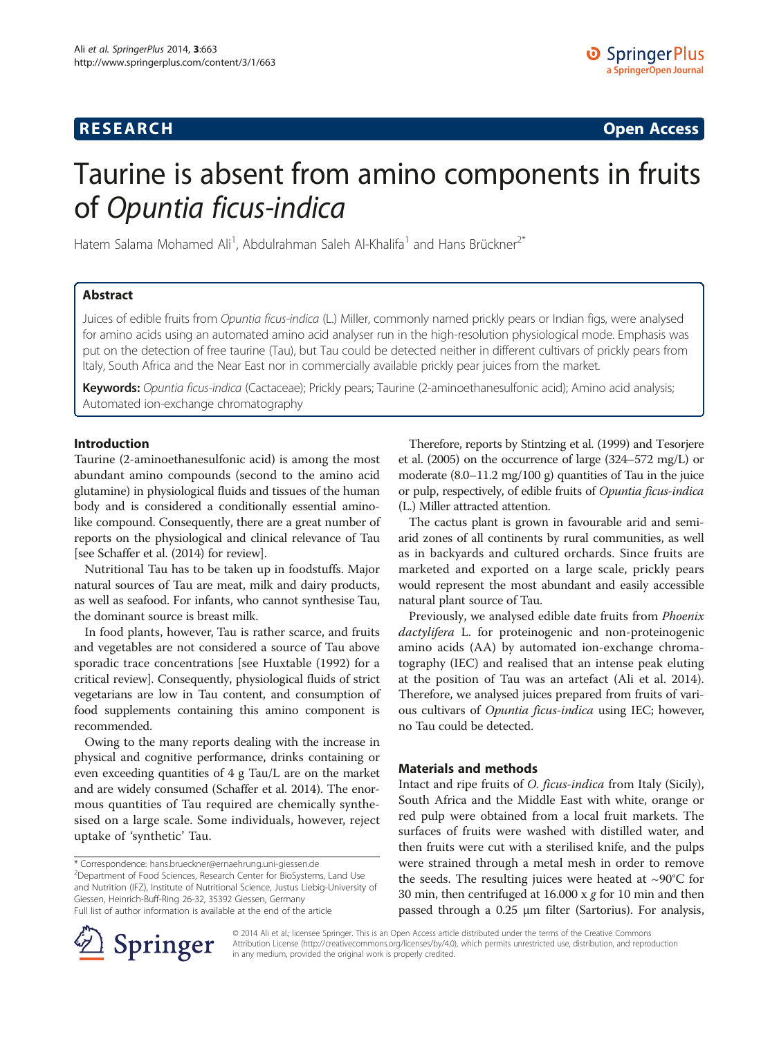## **RESEARCH CHINESE ARCH CHINESE ARCH CHINESE ARCH <b>CHINESE ARCH**

# Taurine is absent from amino components in fruits of Opuntia ficus-indica

Hatem Salama Mohamed Ali<sup>1</sup>, Abdulrahman Saleh Al-Khalifa<sup>1</sup> and Hans Brückner<sup>2\*</sup>

## Abstract

Juices of edible fruits from Opuntia ficus-indica (L.) Miller, commonly named prickly pears or Indian figs, were analysed for amino acids using an automated amino acid analyser run in the high-resolution physiological mode. Emphasis was put on the detection of free taurine (Tau), but Tau could be detected neither in different cultivars of prickly pears from Italy, South Africa and the Near East nor in commercially available prickly pear juices from the market.

Keywords: Opuntia ficus-indica (Cactaceae); Prickly pears; Taurine (2-aminoethanesulfonic acid); Amino acid analysis; Automated ion-exchange chromatography

## Introduction

Taurine (2-aminoethanesulfonic acid) is among the most abundant amino compounds (second to the amino acid glutamine) in physiological fluids and tissues of the human body and is considered a conditionally essential aminolike compound. Consequently, there are a great number of reports on the physiological and clinical relevance of Tau [see Schaffer et al. [\(2014](#page-4-0)) for review].

Nutritional Tau has to be taken up in foodstuffs. Major natural sources of Tau are meat, milk and dairy products, as well as seafood. For infants, who cannot synthesise Tau, the dominant source is breast milk.

In food plants, however, Tau is rather scarce, and fruits and vegetables are not considered a source of Tau above sporadic trace concentrations [see Huxtable ([1992\)](#page-4-0) for a critical review]. Consequently, physiological fluids of strict vegetarians are low in Tau content, and consumption of food supplements containing this amino component is recommended.

Owing to the many reports dealing with the increase in physical and cognitive performance, drinks containing or even exceeding quantities of 4 g Tau/L are on the market and are widely consumed (Schaffer et al. [2014\)](#page-4-0). The enormous quantities of Tau required are chemically synthesised on a large scale. Some individuals, however, reject uptake of 'synthetic' Tau.

\* Correspondence: [hans.brueckner@ernaehrung.uni-giessen.de](mailto:hans.brueckner@ernaehrung.uni-giessen.de) <sup>2</sup> Department of Food Sciences, Research Center for BioSystems, Land Use and Nutrition (IFZ), Institute of Nutritional Science, Justus Liebig-University of Giessen, Heinrich-Buff-Ring 26-32, 35392 Giessen, Germany Full list of author information is available at the end of the article

Therefore, reports by Stintzing et al. ([1999\)](#page-4-0) and Tesorjere et al. ([2005\)](#page-4-0) on the occurrence of large (324–572 mg/L) or moderate (8.0–11.2 mg/100 g) quantities of Tau in the juice or pulp, respectively, of edible fruits of Opuntia ficus-indica (L.) Miller attracted attention.

The cactus plant is grown in favourable arid and semiarid zones of all continents by rural communities, as well as in backyards and cultured orchards. Since fruits are marketed and exported on a large scale, prickly pears would represent the most abundant and easily accessible natural plant source of Tau.

Previously, we analysed edible date fruits from Phoenix dactylifera L. for proteinogenic and non-proteinogenic amino acids (AA) by automated ion-exchange chromatography (IEC) and realised that an intense peak eluting at the position of Tau was an artefact (Ali et al. [2014](#page-4-0)). Therefore, we analysed juices prepared from fruits of various cultivars of Opuntia ficus-indica using IEC; however, no Tau could be detected.

### Materials and methods

Intact and ripe fruits of O. ficus-indica from Italy (Sicily), South Africa and the Middle East with white, orange or red pulp were obtained from a local fruit markets. The surfaces of fruits were washed with distilled water, and then fruits were cut with a sterilised knife, and the pulps were strained through a metal mesh in order to remove the seeds. The resulting juices were heated at  $\sim 90^{\circ}$ C for 30 min, then centrifuged at 16.000 x  $g$  for 10 min and then passed through a 0.25 μm filter (Sartorius). For analysis,



© 2014 Ali et al.; licensee Springer. This is an Open Access article distributed under the terms of the Creative Commons Attribution License [\(http://creativecommons.org/licenses/by/4.0\)](http://creativecommons.org/licenses/by/4.0), which permits unrestricted use, distribution, and reproduction in any medium, provided the original work is properly credited.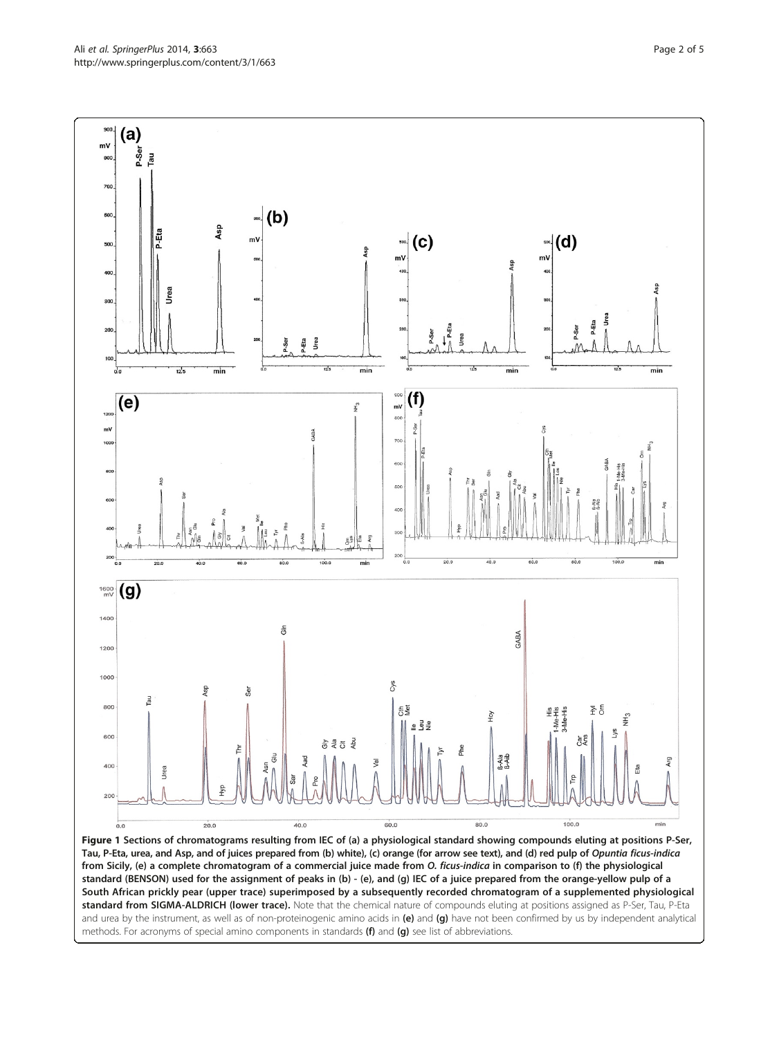<span id="page-1-0"></span>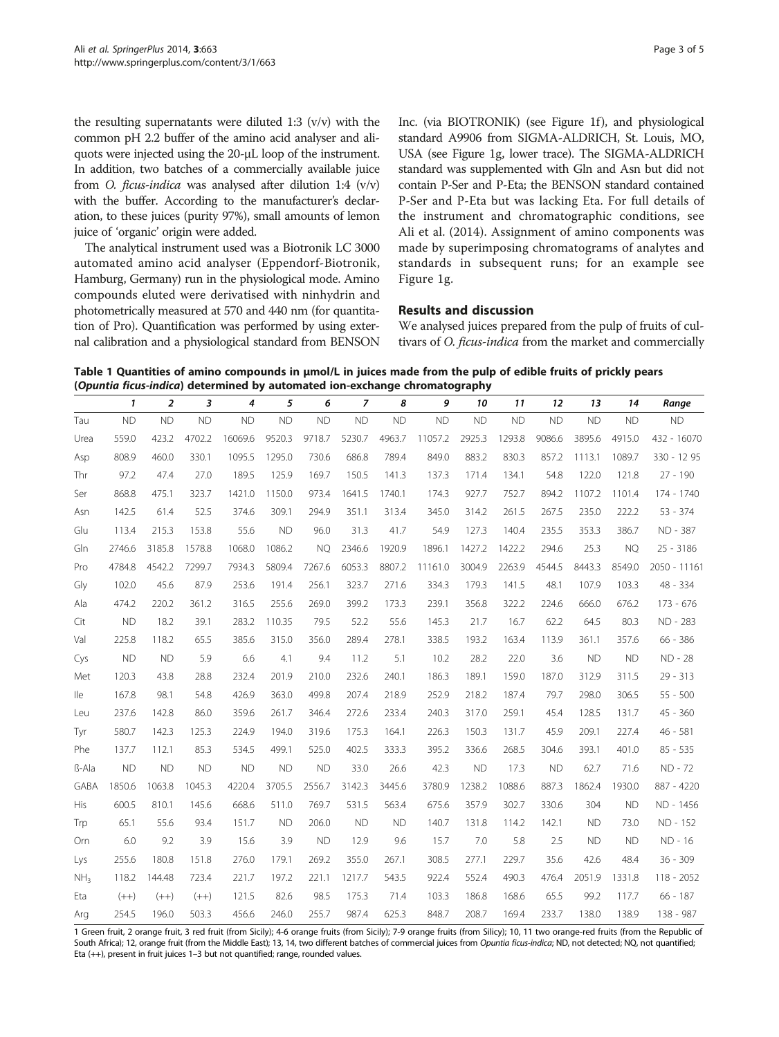<span id="page-2-0"></span>the resulting supernatants were diluted 1:3  $(v/v)$  with the common pH 2.2 buffer of the amino acid analyser and aliquots were injected using the 20-μL loop of the instrument. In addition, two batches of a commercially available juice from O. ficus-indica was analysed after dilution 1:4 (v/v) with the buffer. According to the manufacturer's declaration, to these juices (purity 97%), small amounts of lemon juice of 'organic' origin were added.

The analytical instrument used was a Biotronik LC 3000 automated amino acid analyser (Eppendorf-Biotronik, Hamburg, Germany) run in the physiological mode. Amino compounds eluted were derivatised with ninhydrin and photometrically measured at 570 and 440 nm (for quantitation of Pro). Quantification was performed by using external calibration and a physiological standard from BENSON Inc. (via BIOTRONIK) (see Figure [1f](#page-1-0)), and physiological standard A9906 from SIGMA-ALDRICH, St. Louis, MO, USA (see Figure [1](#page-1-0)g, lower trace). The SIGMA-ALDRICH standard was supplemented with Gln and Asn but did not contain P-Ser and P-Eta; the BENSON standard contained P-Ser and P-Eta but was lacking Eta. For full details of the instrument and chromatographic conditions, see Ali et al. ([2014\)](#page-4-0). Assignment of amino components was made by superimposing chromatograms of analytes and standards in subsequent runs; for an example see Figure [1g](#page-1-0).

## Results and discussion

We analysed juices prepared from the pulp of fruits of cultivars of O. ficus-indica from the market and commercially

Table 1 Quantities of amino compounds in μmol/L in juices made from the pulp of edible fruits of prickly pears (Opuntia ficus-indica) determined by automated ion-exchange chromatography

|                 | $\mathbf{1}$ | $\overline{2}$ | 3         | 4         | 5         | 6         | $\overline{z}$ | 8         | 9         | 10        | 11        | 12        | 13        | 14        | Range          |
|-----------------|--------------|----------------|-----------|-----------|-----------|-----------|----------------|-----------|-----------|-----------|-----------|-----------|-----------|-----------|----------------|
| Tau             | <b>ND</b>    | <b>ND</b>      | <b>ND</b> | <b>ND</b> | <b>ND</b> | <b>ND</b> | <b>ND</b>      | <b>ND</b> | <b>ND</b> | <b>ND</b> | <b>ND</b> | <b>ND</b> | <b>ND</b> | <b>ND</b> | <b>ND</b>      |
| Urea            | 559.0        | 423.2          | 4702.2    | 16069.6   | 9520.3    | 9718.7    | 5230.7         | 4963.7    | 11057.2   | 2925.3    | 1293.8    | 9086.6    | 3895.6    | 4915.0    | 432 - 16070    |
| Asp             | 808.9        | 460.0          | 330.1     | 1095.5    | 1295.0    | 730.6     | 686.8          | 789.4     | 849.0     | 883.2     | 830.3     | 857.2     | 1113.1    | 1089.7    | 330 - 12 95    |
| Thr             | 97.2         | 47.4           | 27.0      | 189.5     | 125.9     | 169.7     | 150.5          | 141.3     | 137.3     | 171.4     | 134.1     | 54.8      | 122.0     | 121.8     | $27 - 190$     |
| Ser             | 868.8        | 475.1          | 323.7     | 1421.0    | 1150.0    | 973.4     | 1641.5         | 1740.1    | 174.3     | 927.7     | 752.7     | 894.2     | 1107.2    | 1101.4    | 174 - 1740     |
| Asn             | 142.5        | 61.4           | 52.5      | 374.6     | 309.1     | 294.9     | 351.1          | 313.4     | 345.0     | 314.2     | 261.5     | 267.5     | 235.0     | 222.2     | $53 - 374$     |
| Glu             | 113.4        | 215.3          | 153.8     | 55.6      | <b>ND</b> | 96.0      | 31.3           | 41.7      | 54.9      | 127.3     | 140.4     | 235.5     | 353.3     | 386.7     | ND - 387       |
| Gln             | 2746.6       | 3185.8         | 1578.8    | 1068.0    | 1086.2    | <b>NQ</b> | 2346.6         | 1920.9    | 1896.1    | 1427.2    | 1422.2    | 294.6     | 25.3      | <b>NQ</b> | 25 - 3186      |
| Pro             | 4784.8       | 4542.2         | 7299.7    | 7934.3    | 5809.4    | 7267.6    | 6053.3         | 8807.2    | 11161.0   | 3004.9    | 2263.9    | 4544.5    | 8443.3    | 8549.0    | 2050 - 11161   |
| Gly             | 102.0        | 45.6           | 87.9      | 253.6     | 191.4     | 256.1     | 323.7          | 271.6     | 334.3     | 179.3     | 141.5     | 48.1      | 107.9     | 103.3     | 48 - 334       |
| Ala             | 474.2        | 220.2          | 361.2     | 316.5     | 255.6     | 269.0     | 399.2          | 173.3     | 239.1     | 356.8     | 322.2     | 224.6     | 666.0     | 676.2     | $173 - 676$    |
| Cit             | <b>ND</b>    | 18.2           | 39.1      | 283.2     | 110.35    | 79.5      | 52.2           | 55.6      | 145.3     | 21.7      | 16.7      | 62.2      | 64.5      | 80.3      | ND - 283       |
| Val             | 225.8        | 118.2          | 65.5      | 385.6     | 315.0     | 356.0     | 289.4          | 278.1     | 338.5     | 193.2     | 163.4     | 113.9     | 361.1     | 357.6     | $66 - 386$     |
| Cys             | <b>ND</b>    | <b>ND</b>      | 5.9       | 6.6       | 4.1       | 9.4       | 11.2           | 5.1       | 10.2      | 28.2      | 22.0      | 3.6       | <b>ND</b> | <b>ND</b> | <b>ND - 28</b> |
| Met             | 120.3        | 43.8           | 28.8      | 232.4     | 201.9     | 210.0     | 232.6          | 240.1     | 186.3     | 189.1     | 159.0     | 187.0     | 312.9     | 311.5     | $29 - 313$     |
| lle             | 167.8        | 98.1           | 54.8      | 426.9     | 363.0     | 499.8     | 207.4          | 218.9     | 252.9     | 218.2     | 187.4     | 79.7      | 298.0     | 306.5     | $55 - 500$     |
| Leu             | 237.6        | 142.8          | 86.0      | 359.6     | 261.7     | 346.4     | 272.6          | 233.4     | 240.3     | 317.0     | 259.1     | 45.4      | 128.5     | 131.7     | $45 - 360$     |
| Tyr             | 580.7        | 142.3          | 125.3     | 224.9     | 194.0     | 319.6     | 175.3          | 164.1     | 226.3     | 150.3     | 131.7     | 45.9      | 209.1     | 227.4     | $46 - 581$     |
| Phe             | 137.7        | 112.1          | 85.3      | 534.5     | 499.1     | 525.0     | 402.5          | 333.3     | 395.2     | 336.6     | 268.5     | 304.6     | 393.1     | 401.0     | $85 - 535$     |
| ß-Ala           | <b>ND</b>    | <b>ND</b>      | <b>ND</b> | <b>ND</b> | <b>ND</b> | <b>ND</b> | 33.0           | 26.6      | 42.3      | <b>ND</b> | 17.3      | <b>ND</b> | 62.7      | 71.6      | ND - 72        |
| GABA            | 1850.6       | 1063.8         | 1045.3    | 4220.4    | 3705.5    | 2556.7    | 3142.3         | 3445.6    | 3780.9    | 1238.2    | 1088.6    | 887.3     | 1862.4    | 1930.0    | 887 - 4220     |
| His             | 600.5        | 810.1          | 145.6     | 668.6     | 511.0     | 769.7     | 531.5          | 563.4     | 675.6     | 357.9     | 302.7     | 330.6     | 304       | <b>ND</b> | ND - 1456      |
| Trp             | 65.1         | 55.6           | 93.4      | 151.7     | <b>ND</b> | 206.0     | <b>ND</b>      | <b>ND</b> | 140.7     | 131.8     | 114.2     | 142.1     | <b>ND</b> | 73.0      | ND - 152       |
| Orn             | 6.0          | 9.2            | 3.9       | 15.6      | 3.9       | <b>ND</b> | 12.9           | 9.6       | 15.7      | 7.0       | 5.8       | 2.5       | <b>ND</b> | <b>ND</b> | ND - 16        |
| Lys             | 255.6        | 180.8          | 151.8     | 276.0     | 179.1     | 269.2     | 355.0          | 267.1     | 308.5     | 277.1     | 229.7     | 35.6      | 42.6      | 48.4      | $36 - 309$     |
| NH <sub>3</sub> | 118.2        | 144.48         | 723.4     | 221.7     | 197.2     | 221.1     | 1217.7         | 543.5     | 922.4     | 552.4     | 490.3     | 476.4     | 2051.9    | 1331.8    | 118 - 2052     |
| Eta             | $(++)$       | $(++)$         | $(++)$    | 121.5     | 82.6      | 98.5      | 175.3          | 71.4      | 103.3     | 186.8     | 168.6     | 65.5      | 99.2      | 117.7     | $66 - 187$     |
| Arg             | 254.5        | 196.0          | 503.3     | 456.6     | 246.0     | 255.7     | 987.4          | 625.3     | 848.7     | 208.7     | 169.4     | 233.7     | 138.0     | 138.9     | 138 - 987      |

1 Green fruit, 2 orange fruit, 3 red fruit (from Sicily); 4-6 orange fruits (from Sicily); 7-9 orange fruits (from Silicy); 10, 11 two orange-red fruits (from the Republic of South Africa); 12, orange fruit (from the Middle East); 13, 14, two different batches of commercial juices from Opuntia ficus-indica; ND, not detected; NQ, not quantified; Eta (++), present in fruit juices 1–3 but not quantified; range, rounded values.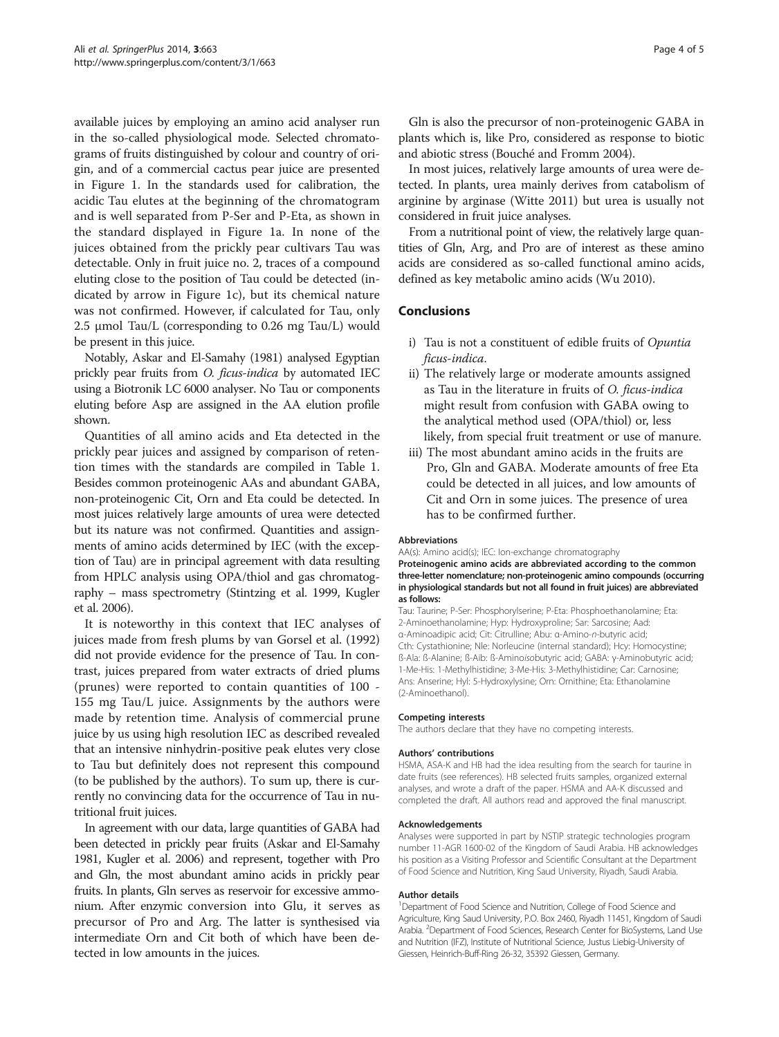available juices by employing an amino acid analyser run in the so-called physiological mode. Selected chromatograms of fruits distinguished by colour and country of origin, and of a commercial cactus pear juice are presented in Figure [1](#page-1-0). In the standards used for calibration, the acidic Tau elutes at the beginning of the chromatogram and is well separated from P-Ser and P-Eta, as shown in the standard displayed in Figure [1](#page-1-0)a. In none of the juices obtained from the prickly pear cultivars Tau was detectable. Only in fruit juice no. 2, traces of a compound eluting close to the position of Tau could be detected (indicated by arrow in Figure [1c](#page-1-0)), but its chemical nature was not confirmed. However, if calculated for Tau, only 2.5 μmol Tau/L (corresponding to 0.26 mg Tau/L) would be present in this juice.

Notably, Askar and El-Samahy [\(1981\)](#page-4-0) analysed Egyptian prickly pear fruits from O. ficus-indica by automated IEC using a Biotronik LC 6000 analyser. No Tau or components eluting before Asp are assigned in the AA elution profile shown.

Quantities of all amino acids and Eta detected in the prickly pear juices and assigned by comparison of retention times with the standards are compiled in Table [1](#page-2-0). Besides common proteinogenic AAs and abundant GABA, non-proteinogenic Cit, Orn and Eta could be detected. In most juices relatively large amounts of urea were detected but its nature was not confirmed. Quantities and assignments of amino acids determined by IEC (with the exception of Tau) are in principal agreement with data resulting from HPLC analysis using OPA/thiol and gas chromatography – mass spectrometry (Stintzing et al. [1999](#page-4-0), Kugler et al. [2006\)](#page-4-0).

It is noteworthy in this context that IEC analyses of juices made from fresh plums by van Gorsel et al. ([1992](#page-4-0)) did not provide evidence for the presence of Tau. In contrast, juices prepared from water extracts of dried plums (prunes) were reported to contain quantities of 100 - 155 mg Tau/L juice. Assignments by the authors were made by retention time. Analysis of commercial prune juice by us using high resolution IEC as described revealed that an intensive ninhydrin-positive peak elutes very close to Tau but definitely does not represent this compound (to be published by the authors). To sum up, there is currently no convincing data for the occurrence of Tau in nutritional fruit juices.

In agreement with our data, large quantities of GABA had been detected in prickly pear fruits (Askar and El-Samahy [1981](#page-4-0), Kugler et al. [2006\)](#page-4-0) and represent, together with Pro and Gln, the most abundant amino acids in prickly pear fruits. In plants, Gln serves as reservoir for excessive ammonium. After enzymic conversion into Glu, it serves as precursor of Pro and Arg. The latter is synthesised via intermediate Orn and Cit both of which have been detected in low amounts in the juices.

Gln is also the precursor of non-proteinogenic GABA in plants which is, like Pro, considered as response to biotic and abiotic stress (Bouché and Fromm [2004\)](#page-4-0).

In most juices, relatively large amounts of urea were detected. In plants, urea mainly derives from catabolism of arginine by arginase (Witte [2011\)](#page-4-0) but urea is usually not considered in fruit juice analyses.

From a nutritional point of view, the relatively large quantities of Gln, Arg, and Pro are of interest as these amino acids are considered as so-called functional amino acids, defined as key metabolic amino acids (Wu [2010\)](#page-4-0).

## Conclusions

- i) Tau is not a constituent of edible fruits of Opuntia ficus-indica.
- ii) The relatively large or moderate amounts assigned as Tau in the literature in fruits of O. ficus-indica might result from confusion with GABA owing to the analytical method used (OPA/thiol) or, less likely, from special fruit treatment or use of manure.
- iii) The most abundant amino acids in the fruits are Pro, Gln and GABA. Moderate amounts of free Eta could be detected in all juices, and low amounts of Cit and Orn in some juices. The presence of urea has to be confirmed further.

#### Abbreviations

AA(s): Amino acid(s); IEC: Ion-exchange chromatography

Proteinogenic amino acids are abbreviated according to the common three-letter nomenclature; non-proteinogenic amino compounds (occurring in physiological standards but not all found in fruit juices) are abbreviated as follows:

Tau: Taurine; P-Ser: Phosphorylserine; P-Eta: Phosphoethanolamine; Eta: 2-Aminoethanolamine; Hyp: Hydroxyproline; Sar: Sarcosine; Aad: α-Aminoadipic acid; Cit: Citrulline; Abu: α-Amino-n-butyric acid; Cth: Cystathionine; Nle: Norleucine (internal standard); Hcy: Homocystine; ß-Ala: ß-Alanine; ß-Aib: ß-Aminoisobutyric acid; GABA: γ-Aminobutyric acid; 1-Me-His: 1-Methylhistidine; 3-Me-His: 3-Methylhistidine; Car: Carnosine; Ans: Anserine; Hyl: 5-Hydroxylysine; Orn: Ornithine; Eta: Ethanolamine (2-Aminoethanol).

#### Competing interests

The authors declare that they have no competing interests.

#### Authors' contributions

HSMA, ASA-K and HB had the idea resulting from the search for taurine in date fruits (see references). HB selected fruits samples, organized external analyses, and wrote a draft of the paper. HSMA and AA-K discussed and completed the draft. All authors read and approved the final manuscript.

#### Acknowledgements

Analyses were supported in part by NSTIP strategic technologies program number 11-AGR 1600-02 of the Kingdom of Saudi Arabia. HB acknowledges his position as a Visiting Professor and Scientific Consultant at the Department of Food Science and Nutrition, King Saud University, Riyadh, Saudi Arabia.

#### Author details

<sup>1</sup>Department of Food Science and Nutrition, College of Food Science and Agriculture, King Saud University, P.O. Box 2460, Riyadh 11451, Kingdom of Saudi Arabia. <sup>2</sup> Department of Food Sciences, Research Center for BioSystems, Land Use and Nutrition (IFZ), Institute of Nutritional Science, Justus Liebig-University of Giessen, Heinrich-Buff-Ring 26-32, 35392 Giessen, Germany.